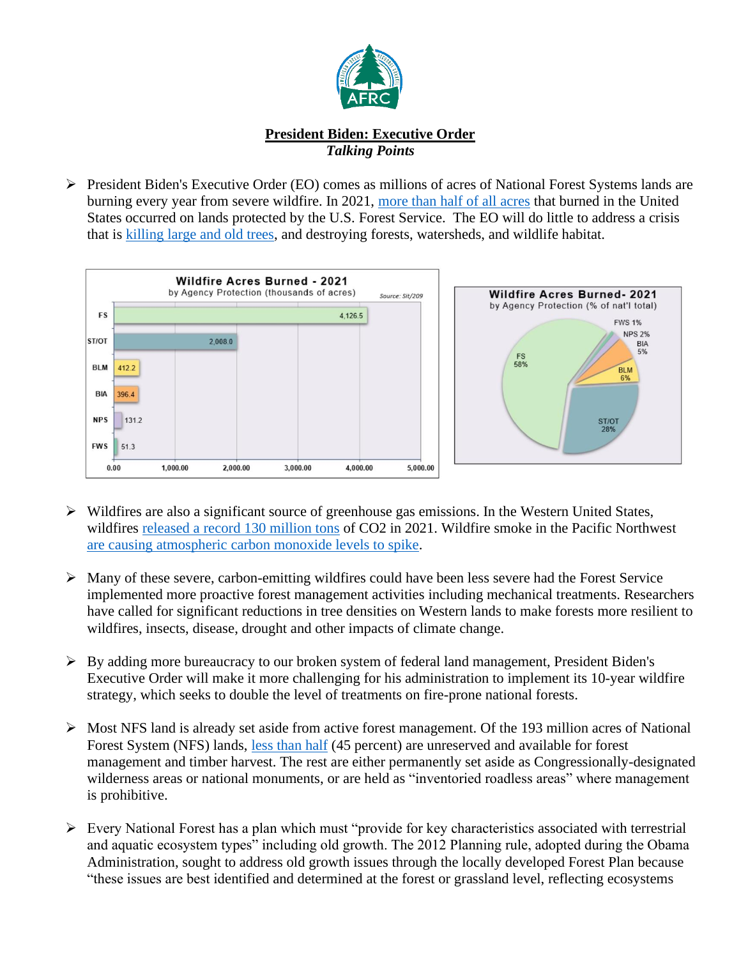

## **President Biden: Executive Order** *Talking Points*

➢ President Biden's Executive Order (EO) comes as millions of acres of National Forest Systems lands are burning every year from severe wildfire. In 2021, [more than half of all acres](https://www.predictiveservices.nifc.gov/intelligence/2021_statssumm/wildfire_charts_tables21.pdf) that burned in the United States occurred on lands protected by the U.S. Forest Service. The EO will do little to address a crisis that is [killing large and old trees,](https://www.nps.gov/articles/000/wildfires-kill-unprecedented-numbers-of-large-sequoia-trees.htm) and destroying forests, watersheds, and wildlife habitat.



- ➢ Wildfires are also a significant source of greenhouse gas emissions. In the Western United States, wildfires [released a record 130 million tons](https://www.nytimes.com/2021/09/21/climate/wildfire-emissions-climate-change.html) of CO2 in 2021. Wildfire smoke in the Pacific Northwest [are causing atmospheric carbon monoxide levels to spike.](https://www.theguardian.com/us-news/2022/apr/18/wildfire-smoke-emissions-study-pacific-north-west)
- ➢ Many of these severe, carbon-emitting wildfires could have been less severe had the Forest Service implemented more proactive forest management activities including mechanical treatments. Researchers have called for significant reductions in tree densities on Western lands to make forests more resilient to wildfires, insects, disease, drought and other impacts of climate change.
- $\triangleright$  By adding more bureaucracy to our broken system of federal land management, President Biden's Executive Order will make it more challenging for his administration to implement its 10-year wildfire strategy, which seeks to double the level of treatments on fire-prone national forests.
- $\triangleright$  Most NFS land is already set aside from active forest management. Of the 193 million acres of National Forest System (NFS) lands, [less than half](https://www.fs.usda.gov/Internet/FSE_DOCUMENTS/stelprdb5274493.pdf) (45 percent) are unreserved and available for forest management and timber harvest. The rest are either permanently set aside as Congressionally-designated wilderness areas or national monuments, or are held as "inventoried roadless areas" where management is prohibitive.
- ➢ Every National Forest has a plan which must "provide for key characteristics associated with terrestrial and aquatic ecosystem types" including old growth. The 2012 Planning rule, adopted during the Obama Administration, sought to address old growth issues through the locally developed Forest Plan because "these issues are best identified and determined at the forest or grassland level, reflecting ecosystems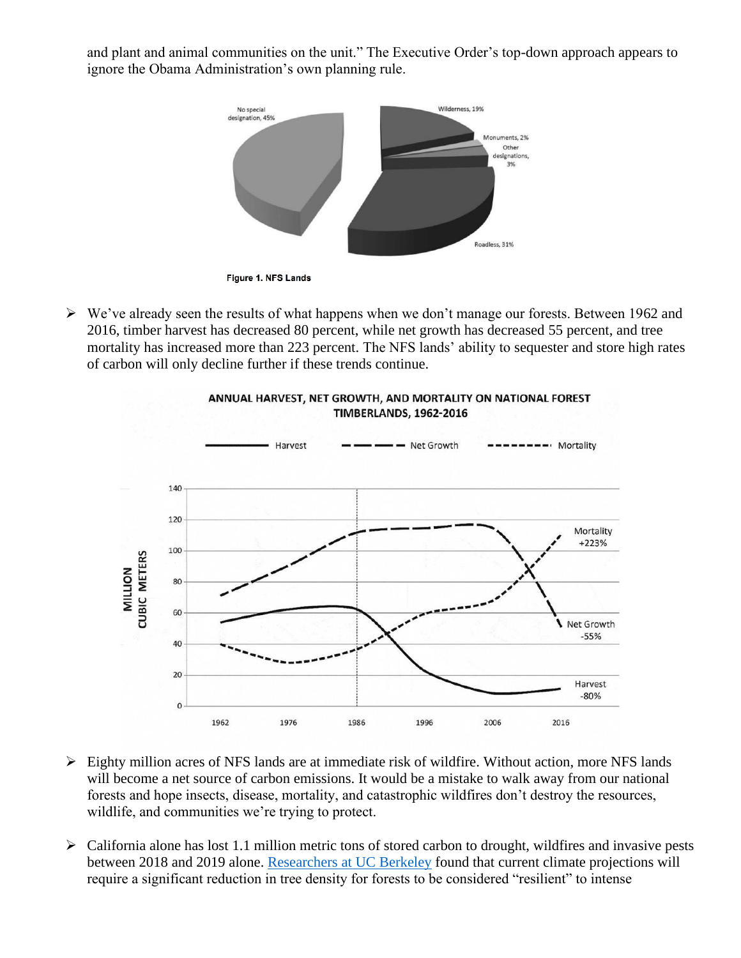and plant and animal communities on the unit." The Executive Order's top-down approach appears to ignore the Obama Administration's own planning rule.



➢ We've already seen the results of what happens when we don't manage our forests. Between 1962 and 2016, timber harvest has decreased 80 percent, while net growth has decreased 55 percent, and tree mortality has increased more than 223 percent. The NFS lands' ability to sequester and store high rates of carbon will only decline further if these trends continue.



## ANNUAL HARVEST, NET GROWTH, AND MORTALITY ON NATIONAL FOREST **TIMBERLANDS, 1962-2016**

- $\triangleright$  Eighty million acres of NFS lands are at immediate risk of wildfire. Without action, more NFS lands will become a net source of carbon emissions. It would be a mistake to walk away from our national forests and hope insects, disease, mortality, and catastrophic wildfires don't destroy the resources, wildlife, and communities we're trying to protect.
- ➢ California alone has lost 1.1 million metric tons of stored carbon to drought, wildfires and invasive pests between 2018 and 2019 alone. [Researchers at UC Berkeley](https://www.dailycal.org/2022/04/04/uc-berkeley-study-encourages-revised-forest-composition-to-combat-climate-change/) found that current climate projections will require a significant reduction in tree density for forests to be considered "resilient" to intense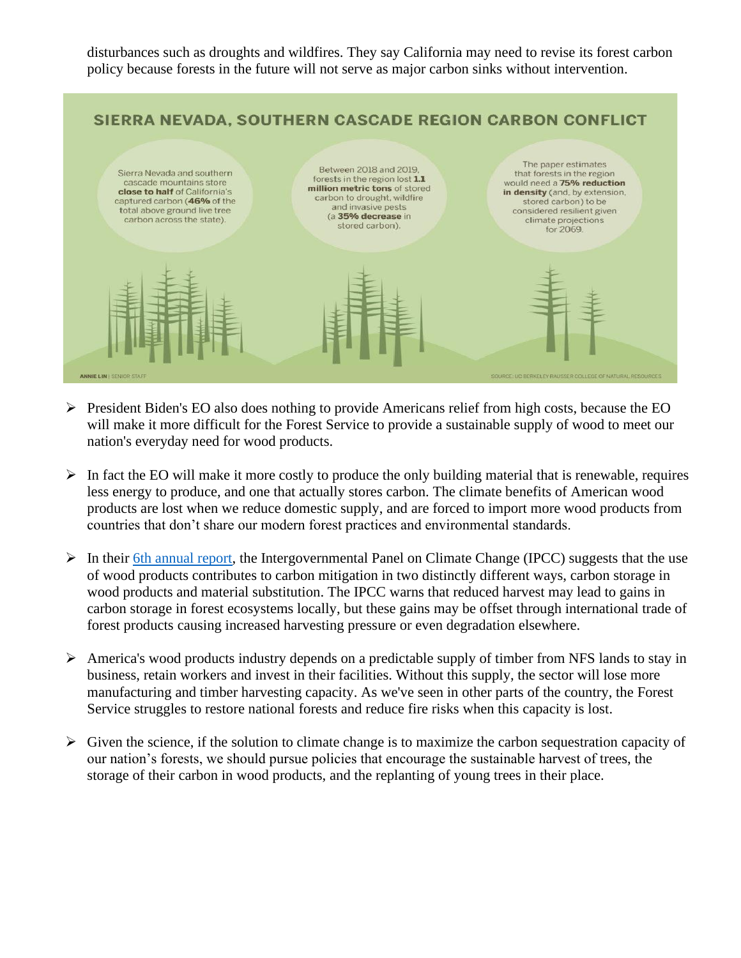disturbances such as droughts and wildfires. They say California may need to revise its forest carbon policy because forests in the future will not serve as major carbon sinks without intervention.



- $\triangleright$  President Biden's EO also does nothing to provide Americans relief from high costs, because the EO will make it more difficult for the Forest Service to provide a sustainable supply of wood to meet our nation's everyday need for wood products.
- $\triangleright$  In fact the EO will make it more costly to produce the only building material that is renewable, requires less energy to produce, and one that actually stores carbon. The climate benefits of American wood products are lost when we reduce domestic supply, and are forced to import more wood products from countries that don't share our modern forest practices and environmental standards.
- $\triangleright$  In their [6th annual report,](https://www.ipcc.ch/report/ar6/wg3/) the Intergovernmental Panel on Climate Change (IPCC) suggests that the use of wood products contributes to carbon mitigation in two distinctly different ways, carbon storage in wood products and material substitution. The IPCC warns that reduced harvest may lead to gains in carbon storage in forest ecosystems locally, but these gains may be offset through international trade of forest products causing increased harvesting pressure or even degradation elsewhere.
- ➢ America's wood products industry depends on a predictable supply of timber from NFS lands to stay in business, retain workers and invest in their facilities. Without this supply, the sector will lose more manufacturing and timber harvesting capacity. As we've seen in other parts of the country, the Forest Service struggles to restore national forests and reduce fire risks when this capacity is lost.
- $\triangleright$  Given the science, if the solution to climate change is to maximize the carbon sequestration capacity of our nation's forests, we should pursue policies that encourage the sustainable harvest of trees, the storage of their carbon in wood products, and the replanting of young trees in their place.